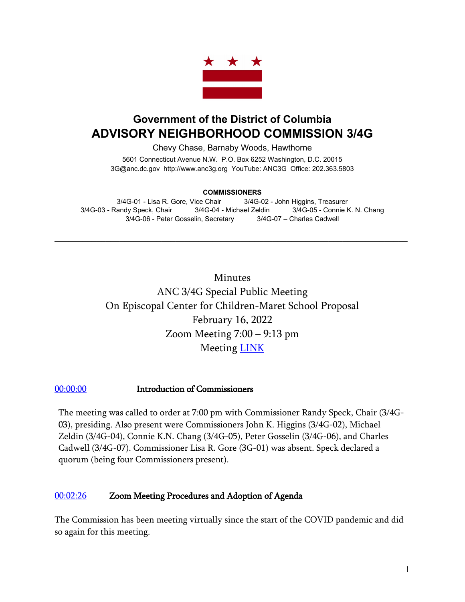

# **Government of the District of Columbia ADVISORY NEIGHBORHOOD COMMISSION 3/4G**

Chevy Chase, Barnaby Woods, Hawthorne

5601 Connecticut Avenue N.W. P.O. Box 6252 Washington, D.C. 20015 3G@anc.dc.gov [http://www.anc3g.org](http://www.anc3g.org/) YouTube: ANC3G Office: 202.363.5803

#### **COMMISSIONERS**

3/4G-01 - Lisa R. Gore, Vice Chair 3/4G-02 - John Higgins, Treasurer 3/4G-03 - Randy Speck, Chair 3/4G-04 - Michael Zeldin 3/4G-05 - Connie K. N. Chang 3/4G-06 - Peter Gosselin, Secretary 3/4G-07 – Charles Cadwell

 $\mathcal{L}_\text{max}$  and  $\mathcal{L}_\text{max}$  and  $\mathcal{L}_\text{max}$  and  $\mathcal{L}_\text{max}$  and  $\mathcal{L}_\text{max}$  and  $\mathcal{L}_\text{max}$ 

Minutes ANC 3/4G Special Public Meeting On Episcopal Center for Children-Maret School Proposal February 16, 2022 Zoom Meeting 7:00 – 9:13 pm Meeting [LINK](https://www.youtube.com/watch?v=UyhpBXxe908)

#### [00:00:00](https://www.youtube.com/watch?v=UyhpBXxe908) Introduction of Commissioners

The meeting was called to order at 7:00 pm with Commissioner Randy Speck, Chair (3/4G-03), presiding. Also present were Commissioners John K. Higgins (3/4G-02), Michael Zeldin (3/4G-04), Connie K.N. Chang (3/4G-05), Peter Gosselin (3/4G-06), and Charles Cadwell (3/4G-07). Commissioner Lisa R. Gore (3G-01) was absent. Speck declared a quorum (being four Commissioners present).

#### [00:02:26](https://www.youtube.com/watch?v=UyhpBXxe908&t=146s) Zoom Meeting Procedures and Adoption of Agenda

The Commission has been meeting virtually since the start of the COVID pandemic and did so again for this meeting.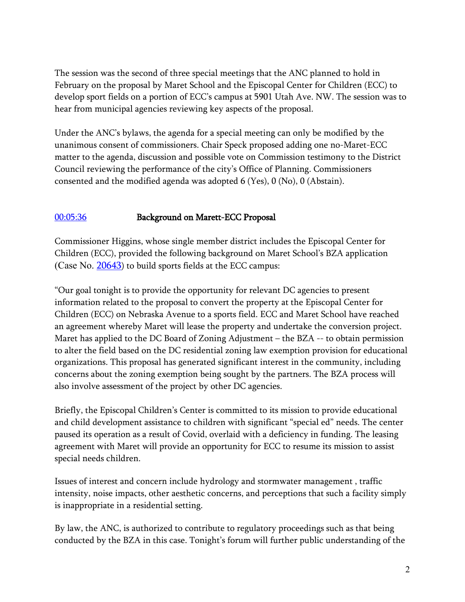The session was the second of three special meetings that the ANC planned to hold in February on the proposal by Maret School and the Episcopal Center for Children (ECC) to develop sport fields on a portion of ECC's campus at 5901 Utah Ave. NW. The session was to hear from municipal agencies reviewing key aspects of the proposal.

Under the ANC's bylaws, the agenda for a special meeting can only be modified by the unanimous consent of commissioners. Chair Speck proposed adding one no-Maret-ECC matter to the agenda, discussion and possible vote on Commission testimony to the District Council reviewing the performance of the city's Office of Planning. Commissioners consented and the modified agenda was adopted 6 (Yes), 0 (No), 0 (Abstain).

#### [00:05:36](https://www.youtube.com/watch?v=UyhpBXxe908&t=336s) Background on Marett-ECC Proposal

Commissioner Higgins, whose single member district includes the Episcopal Center for Children (ECC), provided the following background on Maret School's BZA application (Case No.  $20643$ ) to build sports fields at the ECC campus:

"Our goal tonight is to provide the opportunity for relevant DC agencies to present information related to the proposal to convert the property at the Episcopal Center for Children (ECC) on Nebraska Avenue to a sports field. ECC and Maret School have reached an agreement whereby Maret will lease the property and undertake the conversion project. Maret has applied to the DC Board of Zoning Adjustment – the BZA -- to obtain permission to alter the field based on the DC residential zoning law exemption provision for educational organizations. This proposal has generated significant interest in the community, including concerns about the zoning exemption being sought by the partners. The BZA process will also involve assessment of the project by other DC agencies.

Briefly, the Episcopal Children's Center is committed to its mission to provide educational and child development assistance to children with significant "special ed" needs. The center paused its operation as a result of Covid, overlaid with a deficiency in funding. The leasing agreement with Maret will provide an opportunity for ECC to resume its mission to assist special needs children.

Issues of interest and concern include hydrology and stormwater management , traffic intensity, noise impacts, other aesthetic concerns, and perceptions that such a facility simply is inappropriate in a residential setting.

By law, the ANC, is authorized to contribute to regulatory proceedings such as that being conducted by the BZA in this case. Tonight's forum will further public understanding of the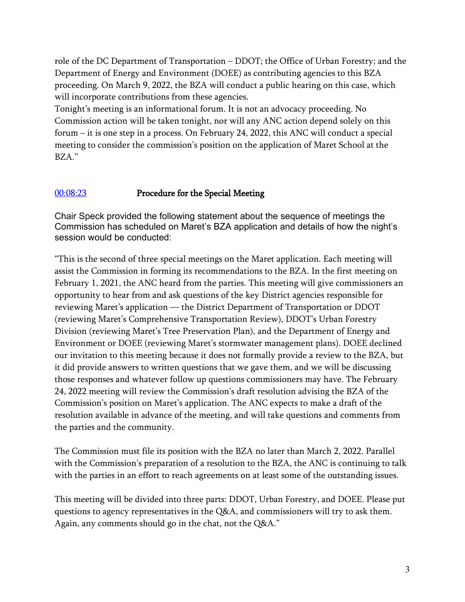role of the DC Department of Transportation – DDOT; the Office of Urban Forestry; and the Department of Energy and Environment (DOEE) as contributing agencies to this BZA proceeding. On March 9, 2022, the BZA will conduct a public hearing on this case, which will incorporate contributions from these agencies.

Tonight's meeting is an informational forum. It is not an advocacy proceeding. No Commission action will be taken tonight, nor will any ANC action depend solely on this forum – it is one step in a process. On February 24, 2022, this ANC will conduct a special meeting to consider the commission's position on the application of Maret School at the BZA."

### [00:08:23](https://www.youtube.com/watch?v=UyhpBXxe908&t=503s) Procedure for the Special Meeting

Chair Speck provided the following statement about the sequence of meetings the Commission has scheduled on Maret's BZA application and details of how the night's session would be conducted:

"This is the second of three special meetings on the Maret application. Each meeting will assist the Commission in forming its recommendations to the BZA. In the first meeting on February 1, 2021, the ANC heard from the parties. This meeting will give commissioners an opportunity to hear from and ask questions of the key District agencies responsible for reviewing Maret's application — the District Department of Transportation or DDOT (reviewing Maret's Comprehensive Transportation Review), DDOT's Urban Forestry Division (reviewing Maret's Tree Preservation Plan), and the Department of Energy and Environment or DOEE (reviewing Maret's stormwater management plans). DOEE declined our invitation to this meeting because it does not formally provide a review to the BZA, but it did provide answers to written questions that we gave them, and we will be discussing those responses and whatever follow up questions commissioners may have. The February 24, 2022 meeting will review the Commission's draft resolution advising the BZA of the Commission's position on Maret's application. The ANC expects to make a draft of the resolution available in advance of the meeting, and will take questions and comments from the parties and the community.

The Commission must file its position with the BZA no later than March 2, 2022. Parallel with the Commission's preparation of a resolution to the BZA, the ANC is continuing to talk with the parties in an effort to reach agreements on at least some of the outstanding issues.

This meeting will be divided into three parts: DDOT, Urban Forestry, and DOEE. Please put questions to agency representatives in the Q&A, and commissioners will try to ask them. Again, any comments should go in the chat, not the Q&A."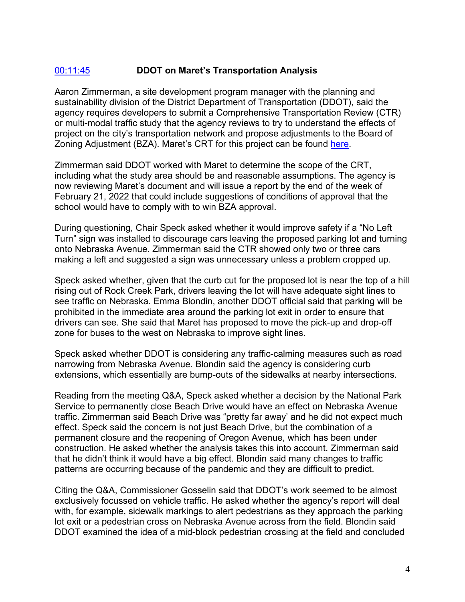### [00:11:45](https://www.youtube.com/watch?v=UyhpBXxe908&t=705s) **DDOT on Maret's Transportation Analysis**

Aaron Zimmerman, a site development program manager with the planning and sustainability division of the District Department of Transportation (DDOT), said the agency requires developers to submit a Comprehensive Transportation Review (CTR) or multi-modal traffic study that the agency reviews to try to understand the effects of project on the city's transportation network and propose adjustments to the Board of Zoning Adjustment (BZA). Maret's CRT for this project can be found [here.](https://resources.finalsite.net/images/v1643032853/maret/yqrct0hmximkojlsmwdw/MaretBallFieldsFinalCTR1-19-22withAppendices.pdf)

Zimmerman said DDOT worked with Maret to determine the scope of the CRT, including what the study area should be and reasonable assumptions. The agency is now reviewing Maret's document and will issue a report by the end of the week of February 21, 2022 that could include suggestions of conditions of approval that the school would have to comply with to win BZA approval.

During questioning, Chair Speck asked whether it would improve safety if a "No Left Turn" sign was installed to discourage cars leaving the proposed parking lot and turning onto Nebraska Avenue. Zimmerman said the CTR showed only two or three cars making a left and suggested a sign was unnecessary unless a problem cropped up.

Speck asked whether, given that the curb cut for the proposed lot is near the top of a hill rising out of Rock Creek Park, drivers leaving the lot will have adequate sight lines to see traffic on Nebraska. Emma Blondin, another DDOT official said that parking will be prohibited in the immediate area around the parking lot exit in order to ensure that drivers can see. She said that Maret has proposed to move the pick-up and drop-off zone for buses to the west on Nebraska to improve sight lines.

Speck asked whether DDOT is considering any traffic-calming measures such as road narrowing from Nebraska Avenue. Blondin said the agency is considering curb extensions, which essentially are bump-outs of the sidewalks at nearby intersections.

Reading from the meeting Q&A, Speck asked whether a decision by the National Park Service to permanently close Beach Drive would have an effect on Nebraska Avenue traffic. Zimmerman said Beach Drive was "pretty far away' and he did not expect much effect. Speck said the concern is not just Beach Drive, but the combination of a permanent closure and the reopening of Oregon Avenue, which has been under construction. He asked whether the analysis takes this into account. Zimmerman said that he didn't think it would have a big effect. Blondin said many changes to traffic patterns are occurring because of the pandemic and they are difficult to predict.

Citing the Q&A, Commissioner Gosselin said that DDOT's work seemed to be almost exclusively focussed on vehicle traffic. He asked whether the agency's report will deal with, for example, sidewalk markings to alert pedestrians as they approach the parking lot exit or a pedestrian cross on Nebraska Avenue across from the field. Blondin said DDOT examined the idea of a mid-block pedestrian crossing at the field and concluded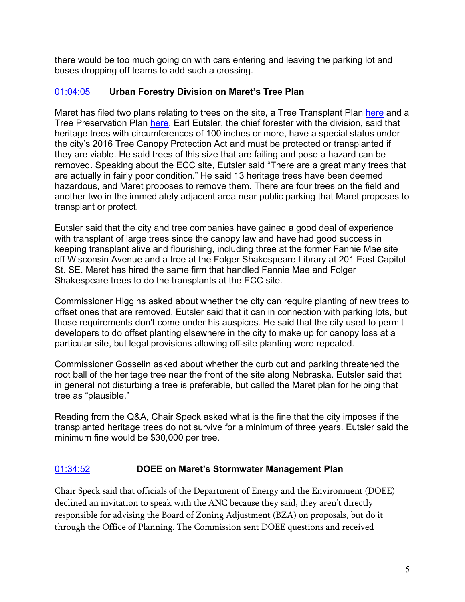there would be too much going on with cars entering and leaving the parking lot and buses dropping off teams to add such a crossing.

### [01:04:05](https://www.youtube.com/watch?v=UyhpBXxe908&t=3845s) **Urban Forestry Division on Maret's Tree Plan**

Maret has filed two plans relating to trees on the site, a Tree Transplant Plan [here](https://resources.finalsite.net/images/v1643819554/maret/iwhni7th9p2fdgex7czu/20220117_ecc_transplant_plan_3108901-reduced.pdf) and a Tree Preservation Plan [here.](https://anc3g.org/wp-content/uploads/2022/02/20220204_ecc_streetscape_ExhibitA_31089.01-flat.pdf) Earl Eutsler, the chief forester with the division, said that heritage trees with circumferences of 100 inches or more, have a special status under the city's 2016 Tree Canopy Protection Act and must be protected or transplanted if they are viable. He said trees of this size that are failing and pose a hazard can be removed. Speaking about the ECC site, Eutsler said "There are a great many trees that are actually in fairly poor condition." He said 13 heritage trees have been deemed hazardous, and Maret proposes to remove them. There are four trees on the field and another two in the immediately adjacent area near public parking that Maret proposes to transplant or protect.

Eutsler said that the city and tree companies have gained a good deal of experience with transplant of large trees since the canopy law and have had good success in keeping transplant alive and flourishing, including three at the former Fannie Mae site off Wisconsin Avenue and a tree at the Folger Shakespeare Library at 201 East Capitol St. SE. Maret has hired the same firm that handled Fannie Mae and Folger Shakespeare trees to do the transplants at the ECC site.

Commissioner Higgins asked about whether the city can require planting of new trees to offset ones that are removed. Eutsler said that it can in connection with parking lots, but those requirements don't come under his auspices. He said that the city used to permit developers to do offset planting elsewhere in the city to make up for canopy loss at a particular site, but legal provisions allowing off-site planting were repealed.

Commissioner Gosselin asked about whether the curb cut and parking threatened the root ball of the heritage tree near the front of the site along Nebraska. Eutsler said that in general not disturbing a tree is preferable, but called the Maret plan for helping that tree as "plausible."

Reading from the Q&A, Chair Speck asked what is the fine that the city imposes if the transplanted heritage trees do not survive for a minimum of three years. Eutsler said the minimum fine would be \$30,000 per tree.

### [01:34:52](https://www.youtube.com/watch?v=UyhpBXxe908&t=5692s) **DOEE on Maret's Stormwater Management Plan**

Chair Speck said that officials of the Department of Energy and the Environment (DOEE) declined an invitation to speak with the ANC because they said, they aren't directly responsible for advising the Board of Zoning Adjustment (BZA) on proposals, but do it through the Office of Planning. The Commission sent DOEE questions and received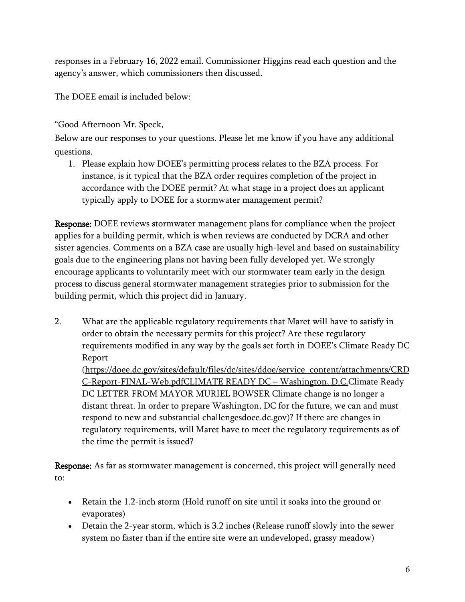responses in a February 16, 2022 email. Commissioner Higgins read each question and the agency's answer, which commissioners then discussed.

The DOEE email is included below:

"Good Afternoon Mr. Speck,

Below are our responses to your questions. Please let me know if you have any additional questions.

1. Please explain how DOEE's permitting process relates to the BZA process. For instance, is it typical that the BZA order requires completion of the project in accordance with the DOEE permit? At what stage in a project does an applicant typically apply to DOEE for a stormwater management permit?

Response: DOEE reviews stormwater management plans for compliance when the project applies for a building permit, which is when reviews are conducted by DCRA and other sister agencies. Comments on a BZA case are usually high-level and based on sustainability goals due to the engineering plans not having been fully developed yet. We strongly encourage applicants to voluntarily meet with our stormwater team early in the design process to discuss general stormwater management strategies prior to submission for the building permit, which this project did in January.

2. What are the applicable regulatory requirements that Maret will have to satisfy in order to obtain the necessary permits for this project? Are these regulatory requirements modified in any way by the goals set forth in DOEE's Climate Ready DC Report

[\(https://doee.dc.gov/sites/default/files/dc/sites/ddoe/service\\_content/attachments/CRD](https://doee.dc.gov/sites/default/files/dc/sites/ddoe/service_content/attachments/CRDC-Report-FINAL-Web.pdf) [C-Report-FINAL-Web.pdfC](https://doee.dc.gov/sites/default/files/dc/sites/ddoe/service_content/attachments/CRDC-Report-FINAL-Web.pdf)LIMATE READY DC [– Washington,](https://doee.dc.gov/sites/default/files/dc/sites/ddoe/service_content/attachments/CRDC-Report-FINAL-Web.pdf) D.C.Climate Ready DC LETTER FROM MAYOR MURIEL BOWSER Climate change is no longer a distant threat. In order to prepare Washington, DC for the future, we can and must respond to new and substantial challengesdoee.dc.gov)? If there are changes in regulatory requirements, will Maret have to meet the regulatory requirements as of the time the permit is issued?

Response: As far as stormwater management is concerned, this project will generally need to:

- Retain the 1.2-inch storm (Hold runoff on site until it soaks into the ground or evaporates)
- Detain the 2-year storm, which is 3.2 inches (Release runoff slowly into the sewer system no faster than if the entire site were an undeveloped, grassy meadow)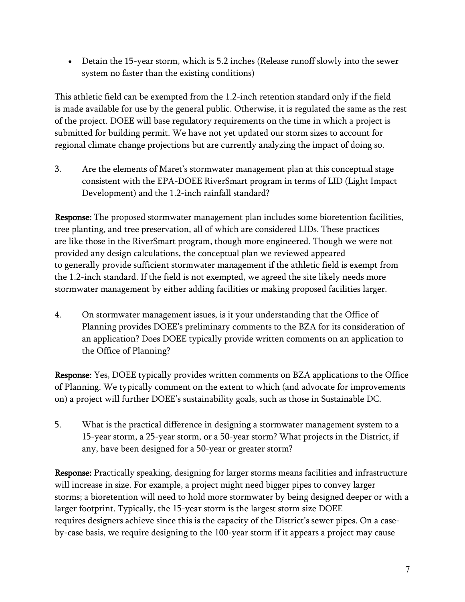• Detain the 15-year storm, which is 5.2 inches (Release runoff slowly into the sewer system no faster than the existing conditions)

This athletic field can be exempted from the 1.2-inch retention standard only if the field is made available for use by the general public. Otherwise, it is regulated the same as the rest of the project. DOEE will base regulatory requirements on the time in which a project is submitted for building permit. We have not yet updated our storm sizes to account for regional climate change projections but are currently analyzing the impact of doing so.

3. Are the elements of Maret's stormwater management plan at this conceptual stage consistent with the EPA-DOEE RiverSmart program in terms of LID (Light Impact Development) and the 1.2-inch rainfall standard?

Response: The proposed stormwater management plan includes some bioretention facilities, tree planting, and tree preservation, all of which are considered LIDs. These practices are like those in the RiverSmart program, though more engineered. Though we were not provided any design calculations, the conceptual plan we reviewed appeared to generally provide sufficient stormwater management if the athletic field is exempt from the 1.2-inch standard. If the field is not exempted, we agreed the site likely needs more stormwater management by either adding facilities or making proposed facilities larger.

4. On stormwater management issues, is it your understanding that the Office of Planning provides DOEE's preliminary comments to the BZA for its consideration of an application? Does DOEE typically provide written comments on an application to the Office of Planning?

Response: Yes, DOEE typically provides written comments on BZA applications to the Office of Planning. We typically comment on the extent to which (and advocate for improvements on) a project will further DOEE's sustainability goals, such as those in Sustainable DC.

5. What is the practical difference in designing a stormwater management system to a 15-year storm, a 25-year storm, or a 50-year storm? What projects in the District, if any, have been designed for a 50-year or greater storm?

Response: Practically speaking, designing for larger storms means facilities and infrastructure will increase in size. For example, a project might need bigger pipes to convey larger storms; a bioretention will need to hold more stormwater by being designed deeper or with a larger footprint. Typically, the 15-year storm is the largest storm size DOEE requires designers achieve since this is the capacity of the District's sewer pipes. On a caseby-case basis, we require designing to the 100-year storm if it appears a project may cause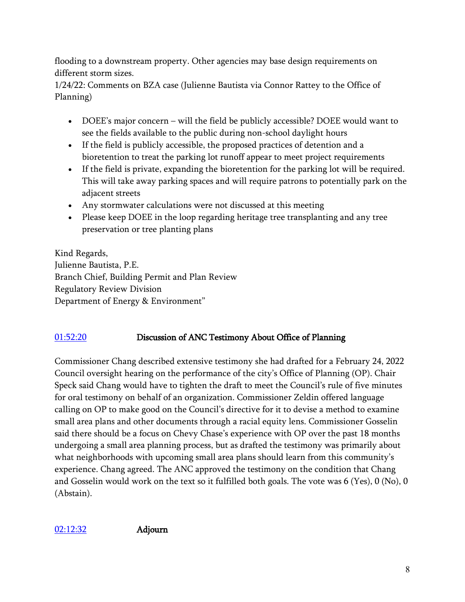flooding to a downstream property. Other agencies may base design requirements on different storm sizes.

1/24/22: Comments on BZA case (Julienne Bautista via Connor Rattey to the Office of Planning)

- DOEE's major concern will the field be publicly accessible? DOEE would want to see the fields available to the public during non-school daylight hours
- If the field is publicly accessible, the proposed practices of detention and a bioretention to treat the parking lot runoff appear to meet project requirements
- If the field is private, expanding the bioretention for the parking lot will be required. This will take away parking spaces and will require patrons to potentially park on the adjacent streets
- Any stormwater calculations were not discussed at this meeting
- Please keep DOEE in the loop regarding heritage tree transplanting and any tree preservation or tree planting plans

Kind Regards, Julienne Bautista, P.E. Branch Chief, Building Permit and Plan Review Regulatory Review Division Department of Energy & Environment"

## [01:52:20](https://www.youtube.com/watch?v=UyhpBXxe908&t=6740s) Discussion of ANC Testimony About Office of Planning

Commissioner Chang described extensive testimony she had drafted for a February 24, 2022 Council oversight hearing on the performance of the city's Office of Planning (OP). Chair Speck said Chang would have to tighten the draft to meet the Council's rule of five minutes for oral testimony on behalf of an organization. Commissioner Zeldin offered language calling on OP to make good on the Council's directive for it to devise a method to examine small area plans and other documents through a racial equity lens. Commissioner Gosselin said there should be a focus on Chevy Chase's experience with OP over the past 18 months undergoing a small area planning process, but as drafted the testimony was primarily about what neighborhoods with upcoming small area plans should learn from this community's experience. Chang agreed. The ANC approved the testimony on the condition that Chang and Gosselin would work on the text so it fulfilled both goals. The vote was 6 (Yes), 0 (No), 0 (Abstain).

[02:12:32](https://www.youtube.com/watch?v=UyhpBXxe908&t=7952s) Adjourn